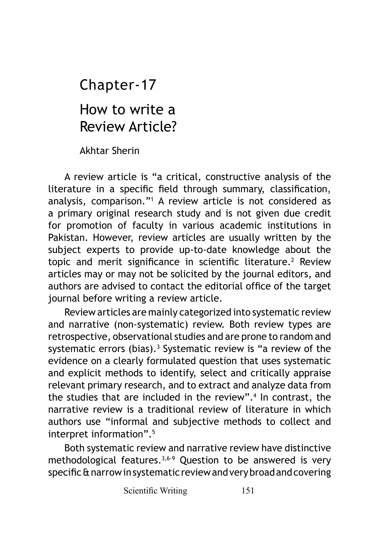How to write a Review Article? Chapter-17

Akhtar Sherin

A review article is "a critical, constructive analysis of the literature in a specific field through summary, classification, analysis, comparison."<sup>1</sup> A review article is not considered as a primary original research study and is not given due credit for promotion of faculty in various academic institutions in Pakistan. However, review articles are usually written by the subject experts to provide up-to-date knowledge about the topic and merit significance in scientific literature.<sup>2</sup> Review articles may or may not be solicited by the journal editors, and authors are advised to contact the editorial office of the target journal before writing a review article.

Review articles are mainly categorized into systematic review and narrative (non-systematic) review. Both review types are retrospective, observational studies and are prone to random and systematic errors (bias).<sup>3</sup> Systematic review is "a review of the evidence on a clearly formulated question that uses systematic and explicit methods to identify, select and critically appraise relevant primary research, and to extract and analyze data from the studies that are included in the review".<sup>4</sup> In contrast, the narrative review is a traditional review of literature in which authors use "informal and subjective methods to collect and interpret information".<sup>5</sup>

Both systematic review and narrative review have distinctive methodological features.3,6-9 Question to be answered is very specific & narrow in systematic review and very broad and covering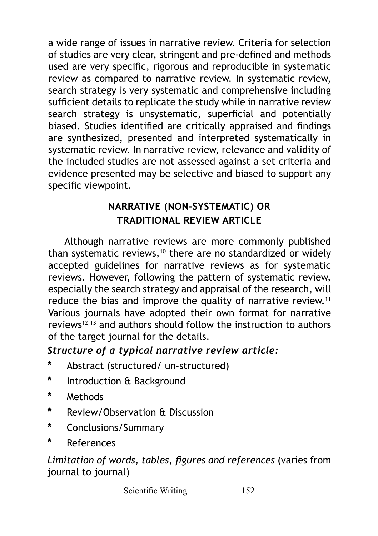a wide range of issues in narrative review. Criteria for selection of studies are very clear, stringent and pre-defined and methods used are very specific, rigorous and reproducible in systematic review as compared to narrative review. In systematic review, search strategy is very systematic and comprehensive including sufficient details to replicate the study while in narrative review search strategy is unsystematic, superficial and potentially biased. Studies identified are critically appraised and findings are synthesized, presented and interpreted systematically in systematic review. In narrative review, relevance and validity of the included studies are not assessed against a set criteria and evidence presented may be selective and biased to support any specific viewpoint.

# **NARRATIVE (NON-SYSTEMATIC) OR TRADITIONAL REVIEW ARTICLE**

Although narrative reviews are more commonly published than systematic reviews, $10$  there are no standardized or widely accepted guidelines for narrative reviews as for systematic reviews. However, following the pattern of systematic review, especially the search strategy and appraisal of the research, will reduce the bias and improve the quality of narrative review.<sup>11</sup> Various journals have adopted their own format for narrative reviews12,13 and authors should follow the instruction to authors of the target journal for the details.

## *Structure of a typical narrative review article:*

- **\*** Abstract (structured/ un-structured)
- **\*** Introduction & Background
- **\*** Methods
- **\*** Review/Observation & Discussion
- **\*** Conclusions/Summary
- **\*** References

### *Limitation of words, tables, figures and references* (varies from journal to journal)

Scientific Writing 152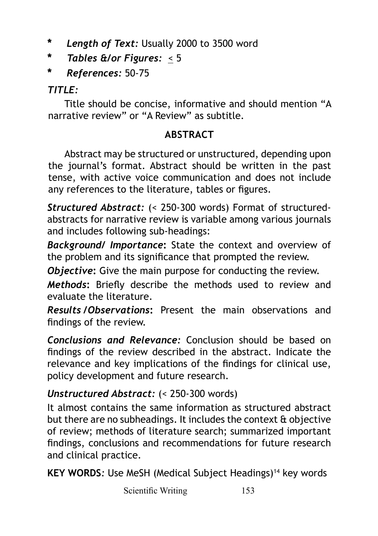- **\*** *Length of Text:* Usually 2000 to 3500 word
- **\*** *Tables &/or Figures:* < 5
- **\*** *References:* 50-75

## *TITLE:*

Title should be concise, informative and should mention "A narrative review" or "A Review" as subtitle.

## **ABSTRACT**

Abstract may be structured or unstructured, depending upon the journal's format. Abstract should be written in the past tense, with active voice communication and does not include any references to the literature, tables or figures.

*Structured Abstract:* (< 250-300 words) Format of structuredabstracts for narrative review is variable among various journals and includes following sub-headings:

*Background/ Importance***:** State the context and overview of the problem and its significance that prompted the review.

*Objective***:** Give the main purpose for conducting the review.

*Methods***:** Briefly describe the methods used to review and evaluate the literature.

*Results /Observations***:** Present the main observations and findings of the review.

*Conclusions and Relevance:* Conclusion should be based on findings of the review described in the abstract. Indicate the relevance and key implications of the findings for clinical use, policy development and future research.

## *Unstructured Abstract:* (< 250-300 words)

It almost contains the same information as structured abstract but there are no subheadings. It includes the context & objective of review; methods of literature search; summarized important findings, conclusions and recommendations for future research and clinical practice.

**KEY WORDS:** Use MeSH (Medical Subject Headings)<sup>14</sup> key words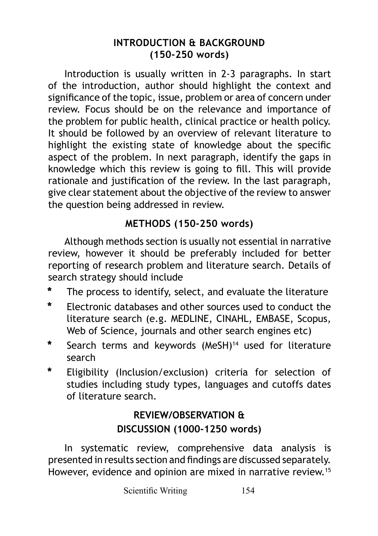### **INTRODUCTION & BACKGROUND (150-250 words)**

Introduction is usually written in 2-3 paragraphs. In start of the introduction, author should highlight the context and significance of the topic, issue, problem or area of concern under review. Focus should be on the relevance and importance of the problem for public health, clinical practice or health policy. It should be followed by an overview of relevant literature to highlight the existing state of knowledge about the specific aspect of the problem. In next paragraph, identify the gaps in knowledge which this review is going to fill. This will provide rationale and justification of the review. In the last paragraph, give clear statement about the objective of the review to answer the question being addressed in review.

### **METHODS (150-250 words)**

Although methods section is usually not essential in narrative review, however it should be preferably included for better reporting of research problem and literature search. Details of search strategy should include

- **\*** The process to identify, select, and evaluate the literature
- **\*** Electronic databases and other sources used to conduct the literature search (e.g. MEDLINE, CINAHL, EMBASE, Scopus, Web of Science, journals and other search engines etc)
- **\*** Search terms and keywords (MeSH)<sup>14</sup> used for literature search
- **\*** Eligibility (Inclusion/exclusion) criteria for selection of studies including study types, languages and cutoffs dates of literature search.

## **REVIEW/OBSERVATION & DISCUSSION (1000-1250 words)**

In systematic review, comprehensive data analysis is presented in results section and findings are discussed separately. However, evidence and opinion are mixed in narrative review.<sup>15</sup>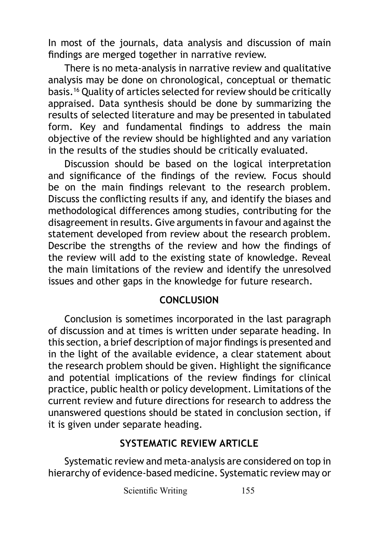In most of the journals, data analysis and discussion of main findings are merged together in narrative review.

There is no meta-analysis in narrative review and qualitative analysis may be done on chronological, conceptual or thematic basis.<sup>16</sup> Quality of articles selected for review should be critically appraised. Data synthesis should be done by summarizing the results of selected literature and may be presented in tabulated form. Key and fundamental findings to address the main objective of the review should be highlighted and any variation in the results of the studies should be critically evaluated.

Discussion should be based on the logical interpretation and significance of the findings of the review. Focus should be on the main findings relevant to the research problem. Discuss the conflicting results if any, and identify the biases and methodological differences among studies, contributing for the disagreement in results. Give arguments in favour and against the statement developed from review about the research problem. Describe the strengths of the review and how the findings of the review will add to the existing state of knowledge. Reveal the main limitations of the review and identify the unresolved issues and other gaps in the knowledge for future research.

#### **CONCLUSION**

Conclusion is sometimes incorporated in the last paragraph of discussion and at times is written under separate heading. In this section, a brief description of major findings is presented and in the light of the available evidence, a clear statement about the research problem should be given. Highlight the significance and potential implications of the review findings for clinical practice, public health or policy development. Limitations of the current review and future directions for research to address the unanswered questions should be stated in conclusion section, if it is given under separate heading.

#### **SYSTEMATIC REVIEW ARTICLE**

Systematic review and meta-analysis are considered on top in hierarchy of evidence-based medicine. Systematic review may or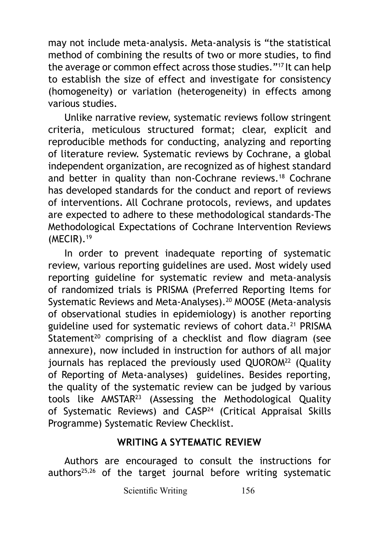may not include meta-analysis. Meta-analysis is "the statistical method of combining the results of two or more studies, to find the average or common effect across those studies."17 It can help to establish the size of effect and investigate for consistency (homogeneity) or variation (heterogeneity) in effects among various studies.

Unlike narrative review, systematic reviews follow stringent criteria, meticulous structured format; clear, explicit and reproducible methods for conducting, analyzing and reporting of literature review. Systematic reviews by Cochrane, a global independent organization, are recognized as of highest standard and better in quality than non-Cochrane reviews.<sup>18</sup> Cochrane has developed standards for the conduct and report of reviews of interventions. All Cochrane protocols, reviews, and updates are expected to adhere to these methodological standards-The Methodological Expectations of Cochrane Intervention Reviews (MECIR).19

In order to prevent inadequate reporting of systematic review, various reporting guidelines are used. Most widely used reporting guideline for systematic review and meta-analysis of randomized trials is PRISMA (Preferred Reporting Items for Systematic Reviews and Meta-Analyses).<sup>20</sup> MOOSE (Meta-analysis of observational studies in epidemiology) is another reporting guideline used for systematic reviews of cohort data.21 PRISMA Statement<sup>20</sup> comprising of a checklist and flow diagram (see annexure), now included in instruction for authors of all major journals has replaced the previously used OUOROM<sup>22</sup> (Ouality of Reporting of Meta-analyses) guidelines. Besides reporting, the quality of the systematic review can be judged by various tools like AMSTAR23 (Assessing the Methodological Quality of Systematic Reviews) and CASP<sup>24</sup> (Critical Appraisal Skills Programme) Systematic Review Checklist.

#### **WRITING A SYTEMATIC REVIEW**

Authors are encouraged to consult the instructions for authors $25,26$  of the target journal before writing systematic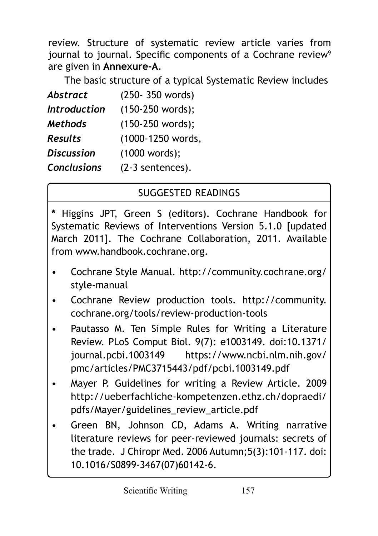review. Structure of systematic review article varies from journal to journal. Specific components of a Cochrane review<sup>9</sup> are given in **Annexure-A**.

The basic structure of a typical Systematic Review includes

| <b>Abstract</b>     | (250-350 words)   |
|---------------------|-------------------|
| <b>Introduction</b> | (150-250 words);  |
| <b>Methods</b>      | (150-250 words);  |
| <b>Results</b>      | (1000-1250 words, |
| <b>Discussion</b>   | (1000 words);     |
| <b>Conclusions</b>  | (2-3 sentences).  |

# SUGGESTED READINGS

**\*** Higgins JPT, Green S (editors). Cochrane Handbook for Systematic Reviews of Interventions Version 5.1.0 [updated March 2011]. The Cochrane Collaboration, 2011. Available from www.handbook.cochrane.org.

- Cochrane Style Manual. http://community.cochrane.org/ style-manual
- Cochrane Review production tools. http://community. cochrane.org/tools/review-production-tools
- Pautasso M. Ten Simple Rules for Writing a Literature Review. PLoS Comput Biol. 9(7): e1003149. doi:10.1371/ journal.pcbi.1003149 https://www.ncbi.nlm.nih.gov/ pmc/articles/PMC3715443/pdf/pcbi.1003149.pdf
- Mayer P. Guidelines for writing a Review Article. 2009 http://ueberfachliche-kompetenzen.ethz.ch/dopraedi/ pdfs/Mayer/guidelines\_review\_article.pdf
- Green BN, Johnson CD, Adams A. Writing narrative literature reviews for peer-reviewed journals: secrets of the trade. J Chiropr Med. 2006 Autumn;5(3):101-117. doi: 10.1016/S0899-3467(07)60142-6.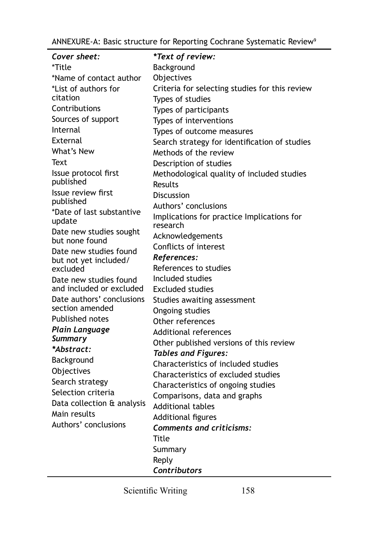ANNEXURE-A: Basic structure for Reporting Cochrane Systematic Review<sup>9</sup>

| Cover sheet:                              | *Text of review:                               |
|-------------------------------------------|------------------------------------------------|
| *Title                                    | Background                                     |
| *Name of contact author                   | Objectives                                     |
| *List of authors for                      | Criteria for selecting studies for this review |
| citation                                  | Types of studies                               |
| Contributions                             | Types of participants                          |
| Sources of support                        | Types of interventions                         |
| Internal                                  | Types of outcome measures                      |
| External                                  | Search strategy for identification of studies  |
| What's New                                | Methods of the review                          |
| Text                                      | Description of studies                         |
| Issue protocol first                      | Methodological quality of included studies     |
| published                                 | Results                                        |
| Issue review first                        | <b>Discussion</b>                              |
| published                                 | Authors' conclusions                           |
| *Date of last substantive                 | Implications for practice Implications for     |
| update                                    | research                                       |
| Date new studies sought<br>but none found | Acknowledgements                               |
| Date new studies found                    | Conflicts of interest                          |
| but not yet included/                     | References:                                    |
| excluded                                  | References to studies                          |
| Date new studies found                    | Included studies                               |
| and included or excluded                  | <b>Excluded studies</b>                        |
| Date authors' conclusions                 | Studies awaiting assessment                    |
| section amended                           | Ongoing studies                                |
| <b>Published notes</b>                    | Other references                               |
| Plain Language                            | Additional references                          |
| Summary                                   | Other published versions of this review        |
| *Abstract:                                | <b>Tables and Figures:</b>                     |
| Background                                | Characteristics of included studies            |
| Objectives                                | Characteristics of excluded studies            |
| Search strategy                           | Characteristics of ongoing studies             |
| Selection criteria                        | Comparisons, data and graphs                   |
| Data collection & analysis                | <b>Additional tables</b>                       |
| Main results                              | Additional figures                             |
| Authors' conclusions                      | <b>Comments and criticisms:</b>                |
|                                           | Title                                          |
|                                           | Summary                                        |
|                                           | Reply                                          |
|                                           | Contributors                                   |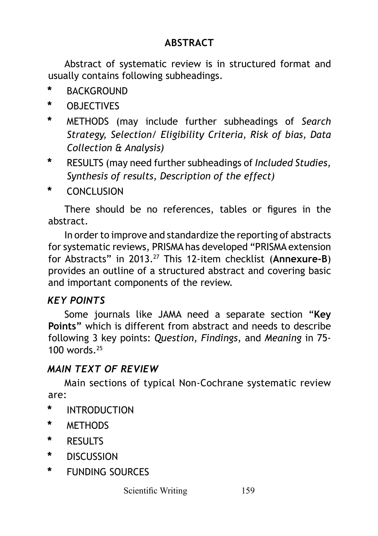## **ABSTRACT**

Abstract of systematic review is in structured format and usually contains following subheadings.

- **\*** BACKGROUND
- **\*** OBJECTIVES
- **\*** METHODS (may include further subheadings of *Search Strategy, Selection/ Eligibility Criteria, Risk of bias, Data Collection & Analysis)*
- **\*** RESULTS (may need further subheadings of *Included Studies, Synthesis of results, Description of the effect)*
- **\*** CONCLUSION

There should be no references, tables or figures in the abstract.

In order to improve and standardize the reporting of abstracts for systematic reviews, PRISMA has developed "PRISMA extension for Abstracts" in 2013.27 This 12-item checklist (**Annexure-B**) provides an outline of a structured abstract and covering basic and important components of the review.

### *KEY POINTS*

Some journals like JAMA need a separate section "**Key Points"** which is different from abstract and needs to describe following 3 key points: *Question*, *Findings*, and *Meaning* in 75- 100 words.<sup>25</sup>

### *MAIN TEXT OF REVIEW*

Main sections of typical Non-Cochrane systematic review are:

- **\*** INTRODUCTION
- **\*** METHODS
- **\*** RESULTS
- **\*** DISCUSSION
- **\*** FUNDING SOURCES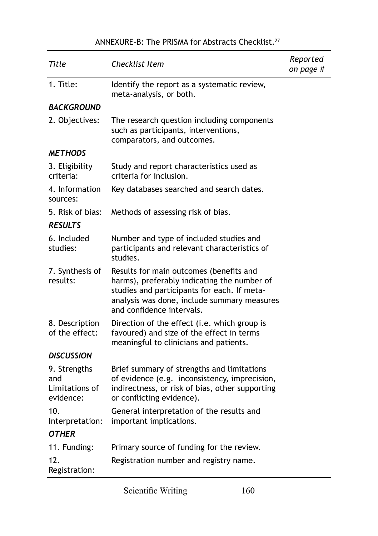#### ANNEXURE-B: The PRISMA for Abstracts Checklist.27

| Title                                              | Checklist Item                                                                                                                                                                                                    | Reported<br>on page # |
|----------------------------------------------------|-------------------------------------------------------------------------------------------------------------------------------------------------------------------------------------------------------------------|-----------------------|
| 1. Title:                                          | Identify the report as a systematic review,<br>meta-analysis, or both.                                                                                                                                            |                       |
| <b>BACKGROUND</b>                                  |                                                                                                                                                                                                                   |                       |
| 2. Objectives:                                     | The research question including components<br>such as participants, interventions,<br>comparators, and outcomes.                                                                                                  |                       |
| <b>METHODS</b>                                     |                                                                                                                                                                                                                   |                       |
| 3. Eligibility<br>criteria:                        | Study and report characteristics used as<br>criteria for inclusion.                                                                                                                                               |                       |
| 4. Information<br>sources:                         | Key databases searched and search dates.                                                                                                                                                                          |                       |
| 5. Risk of bias:                                   | Methods of assessing risk of bias.                                                                                                                                                                                |                       |
| <b>RESULTS</b>                                     |                                                                                                                                                                                                                   |                       |
| 6. Included<br>studies:                            | Number and type of included studies and<br>participants and relevant characteristics of<br>studies.                                                                                                               |                       |
| 7. Synthesis of<br>results:                        | Results for main outcomes (benefits and<br>harms), preferably indicating the number of<br>studies and participants for each. If meta-<br>analysis was done, include summary measures<br>and confidence intervals. |                       |
| 8. Description<br>of the effect:                   | Direction of the effect (i.e. which group is<br>favoured) and size of the effect in terms<br>meaningful to clinicians and patients.                                                                               |                       |
| <b>DISCUSSION</b>                                  |                                                                                                                                                                                                                   |                       |
| 9. Strengths<br>and<br>Limitations of<br>evidence: | Brief summary of strengths and limitations<br>of evidence (e.g. inconsistency, imprecision,<br>indirectness, or risk of bias, other supporting<br>or conflicting evidence).                                       |                       |
| 10.<br>Interpretation:                             | General interpretation of the results and<br>important implications.                                                                                                                                              |                       |
| <b>OTHER</b>                                       |                                                                                                                                                                                                                   |                       |
| 11. Funding:                                       | Primary source of funding for the review.                                                                                                                                                                         |                       |
| 12.<br>Registration:                               | Registration number and registry name.                                                                                                                                                                            |                       |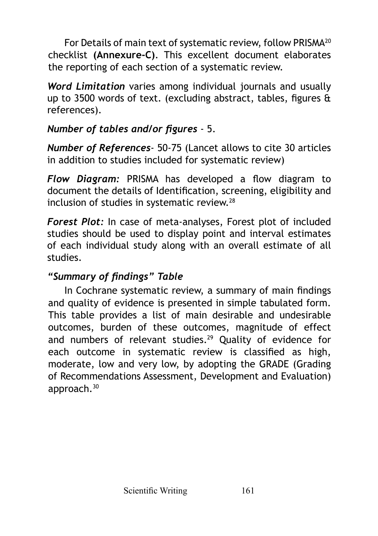For Details of main text of systematic review, follow PRISMA<sup>20</sup> checklist **(Annexure-C)**. This excellent document elaborates the reporting of each section of a systematic review.

*Word Limitation* varies among individual journals and usually up to 3500 words of text. (excluding abstract, tables, figures & references).

### *Number of tables and/or figures* - 5.

*Number of References*- 50-75 (Lancet allows to cite 30 articles in addition to studies included for systematic review)

*Flow Diagram:* PRISMA has developed a flow diagram to document the details of Identification, screening, eligibility and inclusion of studies in systematic review.<sup>28</sup>

*Forest Plot:* In case of meta-analyses, Forest plot of included studies should be used to display point and interval estimates of each individual study along with an overall estimate of all studies.

### *"Summary of findings" Table*

In Cochrane systematic review, a summary of main findings and quality of evidence is presented in simple tabulated form. This table provides a list of main desirable and undesirable outcomes, burden of these outcomes, magnitude of effect and numbers of relevant studies.<sup>29</sup> Quality of evidence for each outcome in systematic review is classified as high, moderate, low and very low, by adopting the GRADE (Grading of Recommendations Assessment, Development and Evaluation) approach.<sup>30</sup>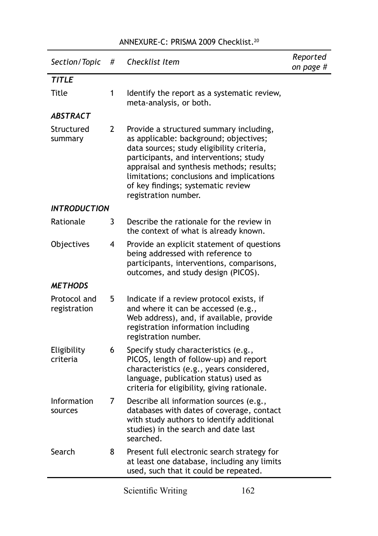#### ANNEXURE-C: PRISMA 2009 Checklist.<sup>20</sup>

| Section/Topic                | # | Checklist Item                                                                                                                                                                                                                                                                                                                   | Reported<br>on page # |
|------------------------------|---|----------------------------------------------------------------------------------------------------------------------------------------------------------------------------------------------------------------------------------------------------------------------------------------------------------------------------------|-----------------------|
| <b>TITLE</b>                 |   |                                                                                                                                                                                                                                                                                                                                  |                       |
| Title                        | 1 | Identify the report as a systematic review,<br>meta-analysis, or both.                                                                                                                                                                                                                                                           |                       |
| ABSTRACT                     |   |                                                                                                                                                                                                                                                                                                                                  |                       |
| Structured<br>summary        | 2 | Provide a structured summary including,<br>as applicable: background; objectives;<br>data sources; study eligibility criteria,<br>participants, and interventions; study<br>appraisal and synthesis methods; results;<br>limitations; conclusions and implications<br>of key findings; systematic review<br>registration number. |                       |
| <i><b>INTRODUCTION</b></i>   |   |                                                                                                                                                                                                                                                                                                                                  |                       |
| Rationale                    | 3 | Describe the rationale for the review in<br>the context of what is already known.                                                                                                                                                                                                                                                |                       |
| Objectives                   | 4 | Provide an explicit statement of questions<br>being addressed with reference to<br>participants, interventions, comparisons,<br>outcomes, and study design (PICOS).                                                                                                                                                              |                       |
| <b>METHODS</b>               |   |                                                                                                                                                                                                                                                                                                                                  |                       |
| Protocol and<br>registration | 5 | Indicate if a review protocol exists, if<br>and where it can be accessed (e.g.,<br>Web address), and, if available, provide<br>registration information including<br>registration number.                                                                                                                                        |                       |
| Eligibility<br>criteria      | 6 | Specify study characteristics (e.g.,<br>PICOS, length of follow-up) and report<br>characteristics (e.g., years considered,<br>language, publication status) used as<br>criteria for eligibility, giving rationale.                                                                                                               |                       |
| Information<br>sources       | 7 | Describe all information sources (e.g.,<br>databases with dates of coverage, contact<br>with study authors to identify additional<br>studies) in the search and date last<br>searched.                                                                                                                                           |                       |
| Search                       | 8 | Present full electronic search strategy for<br>at least one database, including any limits<br>used, such that it could be repeated.                                                                                                                                                                                              |                       |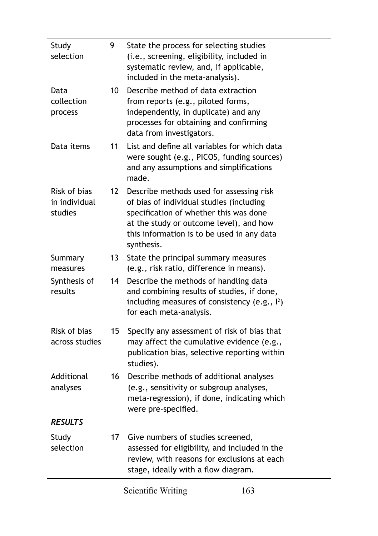| Study<br>selection                       | 9  | State the process for selecting studies<br>(i.e., screening, eligibility, included in<br>systematic review, and, if applicable,<br>included in the meta-analysis).                                                                    |
|------------------------------------------|----|---------------------------------------------------------------------------------------------------------------------------------------------------------------------------------------------------------------------------------------|
| Data<br>collection<br>process            | 10 | Describe method of data extraction<br>from reports (e.g., piloted forms,<br>independently, in duplicate) and any<br>processes for obtaining and confirming<br>data from investigators.                                                |
| Data items                               | 11 | List and define all variables for which data<br>were sought (e.g., PICOS, funding sources)<br>and any assumptions and simplifications<br>made.                                                                                        |
| Risk of bias<br>in individual<br>studies | 12 | Describe methods used for assessing risk<br>of bias of individual studies (including<br>specification of whether this was done<br>at the study or outcome level), and how<br>this information is to be used in any data<br>synthesis. |
| Summary<br>measures                      | 13 | State the principal summary measures<br>(e.g., risk ratio, difference in means).                                                                                                                                                      |
| Synthesis of<br>results                  | 14 | Describe the methods of handling data<br>and combining results of studies, if done,<br>including measures of consistency (e.g., $\vert^2$ )<br>for each meta-analysis.                                                                |
| Risk of bias<br>across studies           | 15 | Specify any assessment of risk of bias that<br>may affect the cumulative evidence (e.g.,<br>publication bias, selective reporting within<br>studies).                                                                                 |
| Additional<br>analyses                   | 16 | Describe methods of additional analyses<br>(e.g., sensitivity or subgroup analyses,<br>meta-regression), if done, indicating which<br>were pre-specified.                                                                             |
| <b>RESULTS</b>                           |    |                                                                                                                                                                                                                                       |
| Study<br>selection                       | 17 | Give numbers of studies screened,<br>assessed for eligibility, and included in the<br>review, with reasons for exclusions at each<br>stage, ideally with a flow diagram.                                                              |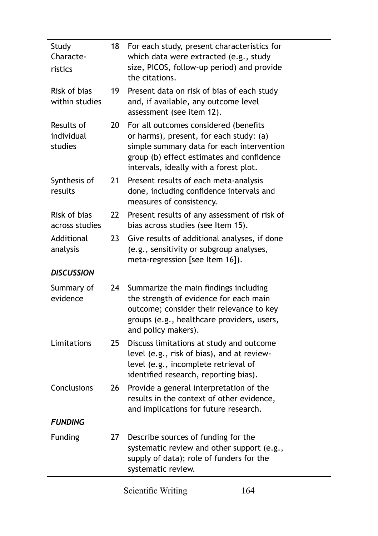| Study<br>Characte-<br>ristics       | 18 | For each study, present characteristics for<br>which data were extracted (e.g., study<br>size, PICOS, follow-up period) and provide<br>the citations.                                                                |
|-------------------------------------|----|----------------------------------------------------------------------------------------------------------------------------------------------------------------------------------------------------------------------|
| Risk of bias<br>within studies      | 19 | Present data on risk of bias of each study<br>and, if available, any outcome level<br>assessment (see item 12).                                                                                                      |
| Results of<br>individual<br>studies | 20 | For all outcomes considered (benefits<br>or harms), present, for each study: (a)<br>simple summary data for each intervention<br>group (b) effect estimates and confidence<br>intervals, ideally with a forest plot. |
| Synthesis of<br>results             | 21 | Present results of each meta-analysis<br>done, including confidence intervals and<br>measures of consistency.                                                                                                        |
| Risk of bias<br>across studies      | 22 | Present results of any assessment of risk of<br>bias across studies (see Item 15).                                                                                                                                   |
| Additional<br>analysis              | 23 | Give results of additional analyses, if done<br>(e.g., sensitivity or subgroup analyses,<br>meta-regression [see Item 16]).                                                                                          |
| <b>DISCUSSION</b>                   |    |                                                                                                                                                                                                                      |
| Summary of<br>evidence              | 24 | Summarize the main findings including<br>the strength of evidence for each main<br>outcome; consider their relevance to key<br>groups (e.g., healthcare providers, users,<br>and policy makers).                     |
| Limitations                         | 25 | Discuss limitations at study and outcome<br>level (e.g., risk of bias), and at review-<br>level (e.g., incomplete retrieval of<br>identified research, reporting bias).                                              |
| Conclusions                         | 26 | Provide a general interpretation of the<br>results in the context of other evidence,<br>and implications for future research.                                                                                        |
| <b>FUNDING</b>                      |    |                                                                                                                                                                                                                      |
| Funding                             | 27 | Describe sources of funding for the<br>systematic review and other support (e.g.,<br>supply of data); role of funders for the<br>systematic review.                                                                  |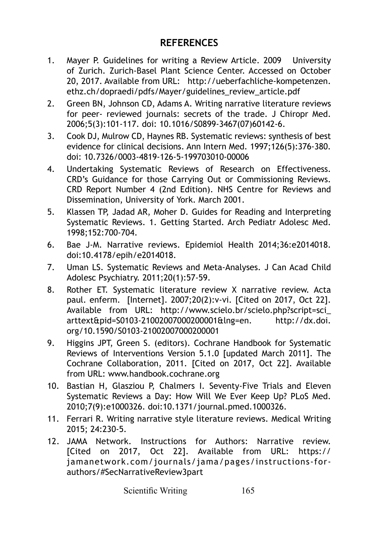#### **REFERENCES**

- 1. Mayer P. Guidelines for writing a Review Article. 2009 University of Zurich. Zurich-Basel Plant Science Center. Accessed on October 20, 2017. Available from URL: [http://ueberfachliche-kompetenzen.](http://ueberfachliche-kompetenzen.ethz.ch/dopraedi/pdfs/Mayer/guidelines_review_article.pdf) [ethz.ch/dopraedi/pdfs/Mayer/guidelines\\_review\\_article.pdf](http://ueberfachliche-kompetenzen.ethz.ch/dopraedi/pdfs/Mayer/guidelines_review_article.pdf)
- 2. Green BN, Johnson CD, Adams A. Writing narrative literature reviews for peer- reviewed journals: secrets of the trade. J Chiropr Med. 2006;5(3):101-117. doi: 10.1016/S0899-3467(07)60142-6.
- 3. Cook DJ, Mulrow CD, Haynes RB. Systematic reviews: synthesis of best evidence for clinical decisions. Ann Intern Med. 1997;126(5):376-380. doi: 10.7326/0003-4819-126-5-199703010-00006
- 4. Undertaking Systematic Reviews of Research on Effectiveness. CRD's Guidance for those Carrying Out or Commissioning Reviews. CRD Report Number 4 (2nd Edition). NHS Centre for Reviews and Dissemination, University of York. March 2001.
- 5. Klassen TP, Jadad AR, Moher D. Guides for Reading and Interpreting Systematic Reviews. 1. Getting Started. Arch Pediatr Adolesc Med. 1998;152:700‐704.
- 6. Bae J-M. Narrative reviews. Epidemiol Health 2014;36:e2014018. doi:10.4178/epih/e2014018.
- 7. Uman LS. Systematic Reviews and Meta-Analyses. J Can Acad Child Adolesc Psychiatry. 2011;20(1):57-59.
- 8. Rother ET. Systematic literature review X narrative review. Acta paul. enferm. [Internet]. 2007;20(2):v-vi. [Cited on 2017, Oct 22]. Available from URL: http://www.scielo.br/scielo.php?script=sci\_ arttext&pid=S0103-21002007000200001&lng=en. http://dx.doi. org/10.1590/S0103-21002007000200001
- 9. Higgins JPT, Green S. (editors). Cochrane Handbook for Systematic Reviews of Interventions Version 5.1.0 [updated March 2011]. The Cochrane Collaboration, 2011. [Cited on 2017, Oct 22]. Available from URL: www.handbook.cochrane.org
- 10. Bastian H, Glasziou P, Chalmers I. Seventy-Five Trials and Eleven Systematic Reviews a Day: How Will We Ever Keep Up? PLoS Med. 2010;7(9):e1000326. doi:10.1371/journal.pmed.1000326.
- 11. Ferrari R. Writing narrative style literature reviews. Medical Writing 2015; 24:230-5.
- 12. JAMA Network. Instructions for Authors: Narrative review. [Cited on 2017, Oct 22]. Available from URL: https:// jamanetwork.com/journals/jama/pages/instructions-forauthors/#SecNarrativeReview3part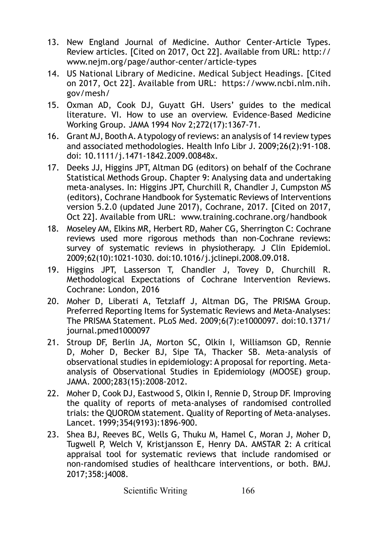- 13. New England Journal of Medicine. Author Center-Article Types. Review articles. [Cited on 2017, Oct 22]. Available from URL: [http://](http://www.nejm.org/page/author-center/article-types) [www.nejm.org/page/author-center/article-types](http://www.nejm.org/page/author-center/article-types)
- 14. US National Library of Medicine. Medical Subject Headings. [Cited on 2017, Oct 22]. Available from URL: [https://www.ncbi.nlm.nih.](https://www.ncbi.nlm.nih.gov/mesh/) [gov/mesh/](https://www.ncbi.nlm.nih.gov/mesh/)
- 15. Oxman AD, Cook DJ, Guyatt GH. Users' guides to the medical literature. VI. How to use an overview. Evidence-Based Medicine Working Group. JAMA 1994 Nov 2;272(17):1367-71.
- 16. Grant MJ, Booth A. A typology of reviews: an analysis of 14 review types and associated methodologies. Health Info Libr J. 2009;26(2):91-108. doi: 10.1111/j.1471-1842.2009.00848x.
- 17. Deeks JJ, Higgins JPT, Altman DG (editors) on behalf of the Cochrane Statistical Methods Group. Chapter 9: Analysing data and undertaking meta-analyses. In: Higgins JPT, Churchill R, Chandler J, Cumpston MS (editors), Cochrane Handbook for Systematic Reviews of Interventions version 5.2.0 (updated June 2017), Cochrane, 2017. [Cited on 2017, Oct 22]. Available from URL: [www.training.cochrane.org/handbook](http://www.training.cochrane.org/handbook)
- 18. Moseley AM, Elkins MR, Herbert RD, Maher CG, Sherrington C: Cochrane reviews used more rigorous methods than non-Cochrane reviews: survey of systematic reviews in physiotherapy. J Clin Epidemiol. 2009;62(10):1021-1030. doi:10.1016/j.jclinepi.2008.09.018.
- 19. Higgins JPT, Lasserson T, Chandler J, Tovey D, Churchill R. Methodological Expectations of Cochrane Intervention Reviews. Cochrane: London, 2016
- 20. Moher D, Liberati A, Tetzlaff J, Altman DG, The PRISMA Group. Preferred Reporting Items for Systematic Reviews and Meta-Analyses: The PRISMA Statement. PLoS Med. 2009;6(7):e1000097. doi:10.1371/ journal.pmed1000097
- 21. Stroup DF, Berlin JA, Morton SC, Olkin I, Williamson GD, Rennie D, Moher D, Becker BJ, Sipe TA, Thacker SB. Meta-analysis of observational studies in epidemiology: A proposal for reporting. Metaanalysis of Observational Studies in Epidemiology (MOOSE) group. JAMA. 2000;283(15):2008-2012.
- 22. Moher D, Cook DJ, Eastwood S, Olkin I, Rennie D, Stroup DF. Improving the quality of reports of meta-analyses of randomised controlled trials: the QUOROM statement. Quality of Reporting of Meta-analyses. Lancet. 1999;354(9193):1896-900.
- 23. Shea BJ, Reeves BC, Wells G, Thuku M, Hamel C, Moran J, Moher D, Tugwell P, Welch V, Kristjansson E, Henry DA. AMSTAR 2: A critical appraisal tool for systematic reviews that include randomised or non-randomised studies of healthcare interventions, or both. BMJ. 2017;358:j4008.